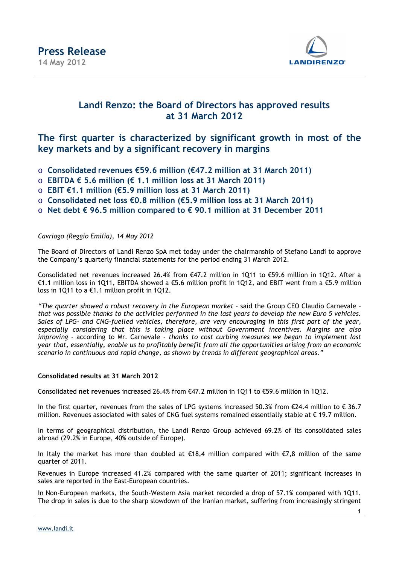

#### **Landi Renzo: the Board of Directors has approved results at 31 March 2012**

#### **The first quarter is characterized by significant growth in most of the key markets and by a significant recovery in margins**

- o **Consolidated revenues €59.6 million (€47.2 million at 31 March 2011)**
- o **EBITDA € 5.6 million (€ 1.1 million loss at 31 March 2011)**
- o **EBIT €1.1 million (€5.9 million loss at 31 March 2011)**
- o **Consolidated net loss €0.8 million (€5.9 million loss at 31 March 2011)**
- o **Net debt € 96.5 million compared to € 90.1 million at 31 December 2011**

*Cavriago (Reggio Emilia), 14 May 2012* 

The Board of Directors of Landi Renzo SpA met today under the chairmanship of Stefano Landi to approve the Company's quarterly financial statements for the period ending 31 March 2012.

Consolidated net revenues increased 26.4% from €47.2 million in 1Q11 to €59.6 million in 1Q12. After a €1.1 million loss in 1Q11, EBITDA showed a €5.6 million profit in 1Q12, and EBIT went from a €5.9 million loss in 1Q11 to a €1.1 million profit in 1Q12.

*"The quarter showed a robust recovery in the European market –* said the Group CEO Claudio Carnevale *– that was possible thanks to the activities performed in the last years to develop the new Euro 5 vehicles. Sales of LPG- and CNG-fuelled vehicles, therefore, are very encouraging in this first part of the year, especially considering that this is taking place without Government incentives. Margins are also improving -* according to Mr. Carnevale - *thanks to cost curbing measures we began to implement last year that, essentially, enable us to profitably benefit from all the opportunities arising from an economic scenario in continuous and rapid change, as shown by trends in different geographical areas."* 

#### **Consolidated results at 31 March 2012**

Consolidated **net revenues** increased 26.4% from €47.2 million in 1Q11 to €59.6 million in 1Q12.

In the first quarter, revenues from the sales of LPG systems increased 50.3% from  $\epsilon$ 24.4 million to  $\epsilon$  36.7 million. Revenues associated with sales of CNG fuel systems remained essentially stable at  $\epsilon$  19.7 million.

In terms of geographical distribution, the Landi Renzo Group achieved 69.2% of its consolidated sales abroad (29.2% in Europe, 40% outside of Europe).

In Italy the market has more than doubled at  $\epsilon$ 18,4 million compared with  $\epsilon$ 7,8 million of the same quarter of 2011.

Revenues in Europe increased 41.2% compared with the same quarter of 2011; significant increases in sales are reported in the East-European countries.

In Non-European markets, the South-Western Asia market recorded a drop of 57.1% compared with 1Q11. The drop in sales is due to the sharp slowdown of the Iranian market, suffering from increasingly stringent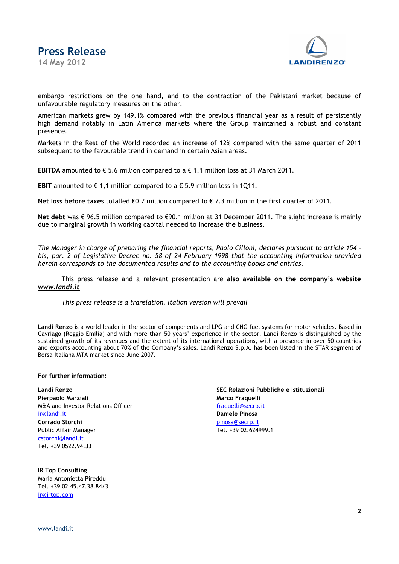

embargo restrictions on the one hand, and to the contraction of the Pakistani market because of unfavourable regulatory measures on the other.

American markets grew by 149.1% compared with the previous financial year as a result of persistently high demand notably in Latin America markets where the Group maintained a robust and constant presence.

Markets in the Rest of the World recorded an increase of 12% compared with the same quarter of 2011 subsequent to the favourable trend in demand in certain Asian areas.

**EBITDA** amounted to  $\epsilon$  5.6 million compared to a  $\epsilon$  1.1 million loss at 31 March 2011.

**EBIT** amounted to  $\epsilon$  1,1 million compared to a  $\epsilon$  5.9 million loss in 1Q11.

**Net loss before taxes** totalled €0.7 million compared to € 7.3 million in the first quarter of 2011.

**Net debt** was € 96.5 million compared to €90.1 million at 31 December 2011. The slight increase is mainly due to marginal growth in working capital needed to increase the business.

*The Manager in charge of preparing the financial reports, Paolo Cilloni, declares pursuant to article 154 – bis, par. 2 of Legislative Decree no. 58 of 24 February 1998 that the accounting information provided herein corresponds to the documented results and to the accounting books and entries.* 

This press release and a relevant presentation are **also available on the company's website** *www.landi.it*

*This press release is a translation. Italian version will prevail*

**Landi Renzo** is a world leader in the sector of components and LPG and CNG fuel systems for motor vehicles. Based in Cavriago (Reggio Emilia) and with more than 50 years' experience in the sector, Landi Renzo is distinguished by the sustained growth of its revenues and the extent of its international operations, with a presence in over 50 countries and exports accounting about 70% of the Company's sales. Landi Renzo S.p.A. has been listed in the STAR segment of Borsa Italiana MTA market since June 2007.

**For further information:** 

**Landi Renzo SEC Relazioni Pubbliche e Istituzionali Pierpaolo Marziali Marco Fraquelli Marco Fraquelli** M&A and Investor Relations Officer fraguelli@secrp.it ir@landi.it **Daniele Pinosa Corrado Storchi** pinosa@secrp.it Public Affair Manager Tel. +39 02.624999.1 cstorchi@landi.it Tel. +39 0522.94.33

**IR Top Consulting** Maria Antonietta Pireddu Tel. +39 02 45.47.38.84/3 ir@irtop.com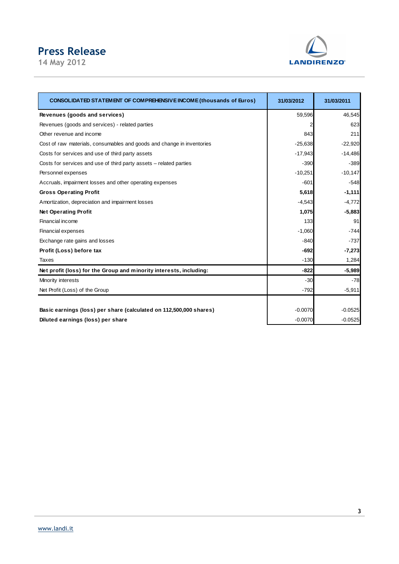# **Press Release**

**14 May 2012** 



| <b>CONSOLIDATED STATEMENT OF COMPREHENSIVE INCOME (thousands of Euros)</b> | 31/03/2012 | 31/03/2011 |
|----------------------------------------------------------------------------|------------|------------|
| Revenues (goods and services)                                              | 59,596     | 46,545     |
| Revenues (goods and services) - related parties                            | 2          | 623        |
| Other revenue and income                                                   | 843        | 211        |
| Cost of raw materials, consumables and goods and change in inventories     | $-25,638$  | $-22,920$  |
| Costs for services and use of third party assets                           | $-17,943$  | $-14,486$  |
| Costs for services and use of third party assets - related parties         | $-390$     | $-389$     |
| Personnel expenses                                                         | $-10,251$  | $-10,147$  |
| Accruals, impairment losses and other operating expenses                   | $-601$     | $-548$     |
| <b>Gross Operating Profit</b>                                              | 5,618      | $-1,111$   |
| Amortization, depreciation and impairment losses                           | $-4,543$   | $-4,772$   |
| <b>Net Operating Profit</b>                                                | 1,075      | $-5,883$   |
| Financial income                                                           | 133        | 91         |
| <b>Financial expenses</b>                                                  | $-1,060$   | $-744$     |
| Exchange rate gains and losses                                             | $-840$     | $-737$     |
| Profit (Loss) before tax                                                   | $-692$     | $-7,273$   |
| Taxes                                                                      | $-130$     | 1,284      |
| Net profit (loss) for the Group and minority interests, including:         | $-822$     | $-5,989$   |
| Minority interests                                                         | $-30$      | $-78$      |
| Net Profit (Loss) of the Group                                             | $-792$     | $-5,911$   |
|                                                                            |            |            |
| Basic earnings (loss) per share (calculated on 112,500,000 shares)         | $-0.0070$  | $-0.0525$  |
| Diluted earnings (loss) per share                                          | $-0.0070$  | $-0.0525$  |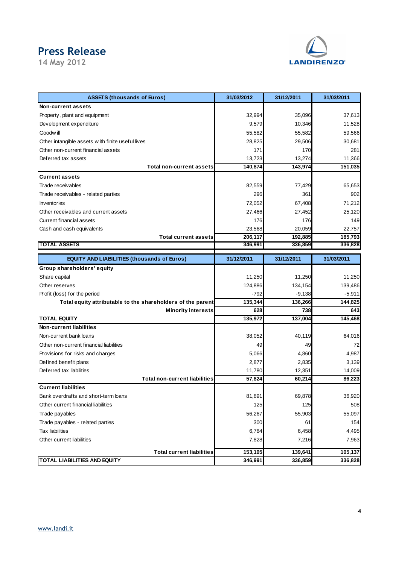# **Press Release**

**14 May 2012** 



| <b>ASSETS (thousands of Euros)</b>                                 | 31/03/2012 | 31/12/2011 | 31/03/2011 |
|--------------------------------------------------------------------|------------|------------|------------|
| Non-current assets                                                 |            |            |            |
| Property, plant and equipment                                      | 32,994     | 35,096     | 37,613     |
| Development expenditure                                            | 9,579      | 10,346     | 11,528     |
| Goodw ill                                                          | 55,582     | 55,582     | 59,566     |
| Other intangible assets with finite useful lives                   | 28,825     | 29,506     | 30,681     |
| Other non-current financial assets                                 | 171        | 170        | 281        |
| Deferred tax assets                                                | 13,723     | 13,274     | 11,366     |
| <b>Total non-current assets</b>                                    | 140,874    | 143,974    | 151,035    |
| <b>Current assets</b>                                              |            |            |            |
| Trade receivables                                                  | 82,559     | 77,429     | 65,653     |
| Trade receivables - related parties                                | 296        | 361        | 902        |
| <b>Inventories</b>                                                 | 72,052     | 67,408     | 71,212     |
| Other receivables and current assets                               | 27,466     | 27,452     | 25,120     |
| Current financial assets                                           | 176        | 176        | 149        |
| Cash and cash equivalents                                          | 23,568     | 20,059     | 22,757     |
| <b>Total current assets</b>                                        | 206,117    | 192,885    | 185,793    |
| <b>TOTAL ASSETS</b>                                                | 346,991    | 336,859    | 336,828    |
| <b>EQUITY AND LIABILITIES (thousands of Euros)</b>                 | 31/12/2011 | 31/12/2011 | 31/03/2011 |
| Group shareholders' equity                                         |            |            |            |
| Share capital                                                      | 11,250     | 11,250     | 11,250     |
| Other reserves                                                     | 124,886    | 134,154    | 139,486    |
| Profit (loss) for the period                                       | $-792$     | $-9,138$   | $-5,911$   |
| Total equity attributable to the shareholders of the parent        | 135,344    | 136,266    | 144,825    |
| <b>Minority interests</b>                                          | 628        | 738        | 643        |
| <b>TOTAL EQUITY</b>                                                | 135,972    | 137,004    | 145,468    |
| <b>Non-current liabilities</b>                                     |            |            |            |
| Non-current bank loans                                             | 38,052     | 40,119     | 64,016     |
| Other non-current financial liabilities                            | 49         | 49         | 72         |
| Provisions for risks and charges                                   | 5,066      | 4,860      | 4,987      |
| Defined benefit plans                                              | 2,877      | 2,835      | 3,139      |
| Deferred tax liabilities<br><b>Total non-current liabilities</b>   | 11,780     | 12,351     | 14,009     |
|                                                                    | 57,824     | 60,214     | 86,223     |
| <b>Current liabilities</b><br>Bank overdrafts and short-term loans | 81,891     |            | 36,920     |
| Other current financial liabilities                                |            | 69,878     |            |
|                                                                    | 125        | 125        | 508        |
| Trade payables                                                     | 56,267     | 55,903     | 55,097     |
| Trade payables - related parties                                   | 300        | 61         | 154        |
| <b>Tax liabilities</b>                                             | 6,784      | 6,458      | 4,495      |
| Other current liabilities                                          | 7,828      | 7,216      | 7,963      |
| <b>Total current liabilities</b>                                   | 153,195    | 139,641    | 105,137    |
| <b>TOTAL LIABILITIES AND EQUITY</b>                                | 346,991    | 336,859    | 336,828    |